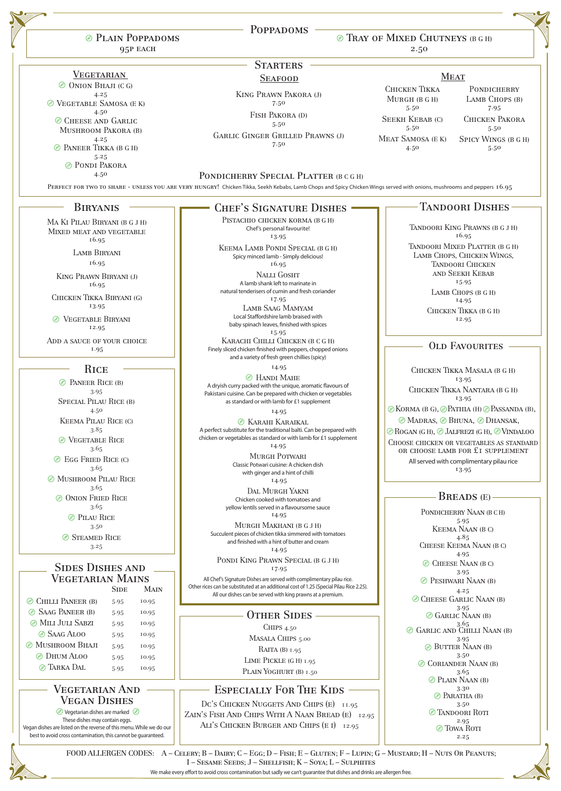4.25

We make every effort to avoid cross contamination but sadly we can't guarantee that dishes and drinks are allergen free.



|                                                                                      | <b>POPPADOMS</b>                                                                                                                                                                                                |                                               |                                                                                                                                                                                             |  |
|--------------------------------------------------------------------------------------|-----------------------------------------------------------------------------------------------------------------------------------------------------------------------------------------------------------------|-----------------------------------------------|---------------------------------------------------------------------------------------------------------------------------------------------------------------------------------------------|--|
| <b><i>©</i></b> PLAIN POPPADOMS<br>95P EACH                                          | © TRAY OF MIXED CHUTNEYS (B G H)<br>2.50                                                                                                                                                                        |                                               |                                                                                                                                                                                             |  |
|                                                                                      | <b>STARTERS</b>                                                                                                                                                                                                 |                                               |                                                                                                                                                                                             |  |
| <b>VEGETARIAN</b>                                                                    | <b>SEAFOOD</b>                                                                                                                                                                                                  | <b>MEAT</b>                                   |                                                                                                                                                                                             |  |
| (فيفيو)<br><b>ONION BHAJI (CG)</b><br>4.25<br>VEGETABLE SAMOSA (E K)                 | <b>KING PRAWN PAKORA (J)</b><br>7.50                                                                                                                                                                            | <b>CHICKEN TIKKA</b><br>MURGH (B G H)<br>5.50 | <b>PONDICHERRY</b><br>LAMB CHOPS (B)<br>7.95                                                                                                                                                |  |
| 4.50<br>CHEESE AND GARLIC<br><b>MUSHROOM PAKORA (B)</b>                              | FISH PAKORA (D)<br>5.50                                                                                                                                                                                         | <b>SEEKH KEBAB (C)</b><br>5.50                | <b>CHICKEN PAKORA</b><br>$5.50$                                                                                                                                                             |  |
| 4.25<br><b>EXAMPLE POINT PEACE AS A PAIR</b><br>5.25<br><b><i>©</i></b> PONDI PAKORA | <b>GARLIC GINGER GRILLED PRAWNS (J)</b><br>7.50                                                                                                                                                                 | <b>MEAT SAMOSA (E K)</b><br>4.50              | <b>SPICY WINGS (B G H)</b><br>5.50                                                                                                                                                          |  |
| 4.50                                                                                 | PONDICHERRY SPECIAL PLATTER (B C G H)<br>PERFECT FOR TWO TO SHARE - UNLESS YOU ARE VERY HUNGRY! Chicken Tikka, Seekh Kebabs, Lamb Chops and Spicy Chicken Wings served with onions, mushrooms and peppers 16.95 |                                               |                                                                                                                                                                                             |  |
| <b>BIRYANIS</b>                                                                      | <b>CHEF'S SIGNATURE DISHES</b>                                                                                                                                                                                  |                                               | <b>TANDOORI DISHES</b>                                                                                                                                                                      |  |
| MA KI PILAU BIRYANI (B G J H)<br>MIXED MEAT AND VEGETABLE<br>16.95                   | PISTACHIO CHICKEN KORMA (B G H)<br>Chef's personal favourite!<br>13.95                                                                                                                                          |                                               | TANDOORI KING PRAWNS (B G J H)<br>16.95                                                                                                                                                     |  |
| <b>LAMB BIRYANI</b><br>16.95                                                         | KEEMA LAMB PONDI SPECIAL (B G H)<br>Spicy minced lamb - Simply delicious!<br>16.95                                                                                                                              |                                               | TANDOORI MIXED PLATTER (B G H)<br>LAMB CHOPS, CHICKEN WINGS,<br><b>TANDOORI CHICKEN</b><br><b>AND SEEKH KEBAB</b><br>15.95<br>LAMB CHOPS (B G H)<br>14.95<br>CHICKEN TIKKA (B G H)<br>12.95 |  |
| KING PRAWN BIRYANI (J)<br>16.95                                                      | <b>NALLI GOSHT</b><br>A lamb shank left to marinate in<br>natural tenderisers of cumin and fresh coriander                                                                                                      |                                               |                                                                                                                                                                                             |  |
| CHICKEN TIKKA BIRYANI (G)<br>13.95                                                   | 17.95<br><b>LAMB SAAG MAMYAM</b>                                                                                                                                                                                |                                               |                                                                                                                                                                                             |  |
| VEGETABLE BIRYANI<br>12.95                                                           | Local Staffordshire lamb braised with<br>baby spinach leaves, finished with spices<br>15.95                                                                                                                     |                                               |                                                                                                                                                                                             |  |
| ADD A SAUCE OF YOUR CHOICE<br>1.95                                                   | KARACHI CHILLI CHICKEN (B C G H)<br>Finely sliced chicken finished with peppers, chopped onions<br>and a variety of fresh green chillies (spicy)                                                                |                                               | <b>OLD FAVOURITES</b>                                                                                                                                                                       |  |
| <b>RICE</b><br>PANEER RICE (B)                                                       | 14.95<br><b>E</b> HANDI MAHE                                                                                                                                                                                    |                                               | CHICKEN TIKKA MASALA (B G H)<br>13.95                                                                                                                                                       |  |
| 3.95<br><b>SPECIAL PILAU RICE (B)</b>                                                | A dryish curry packed with the unique, aromatic flavours of<br>Pakistani cuisine. Can be prepared with chicken or vegetables<br>as standard or with lamb for £1 supplement                                      |                                               | CHICKEN TIKKA NANTARA (B G H)<br>13.95                                                                                                                                                      |  |
| 4.50<br><b>KEEMA PILAU RICE (C)</b>                                                  | 14.95<br><b>EXARAHI KARAIKAL</b>                                                                                                                                                                                |                                               | $\circledcirc$ KORMA (B G), $\circledcirc$ PATHIA (H) $\circledcirc$ PASSANDA (B),<br>© MADRAS, © BHUNA, © DHANSAK,                                                                         |  |
| 3.85<br><b>EXPLORED SECTABLE RICE</b><br>3.65                                        | A perfect substitute for the traditional balti. Can be prepared with<br>chicken or vegetables as standard or with lamb for £1 supplement<br>14.95                                                               |                                               | $\mathcal O$ ROGAN (G H), $\mathcal O$ JALFREZI (G H), $\mathcal O$ VINDALOO<br>CHOOSE CHICKEN OR VEGETABLES AS STANDARD<br>OR CHOOSE LAMB FOR £1 SUPPLEMENT                                |  |
| $\circledcirc$ Egg Fried Rice (C)<br>3.65                                            | <b>MURGH POTWARI</b><br>Classic Potwari cuisine: A chicken dish<br>with ginger and a hint of chilli                                                                                                             |                                               | All served with complimentary pilau rice<br>13.95                                                                                                                                           |  |
| <b>MUSHROOM PILAU RICE</b><br>3.65<br><b>ONION FRIED RICE</b>                        | 14.95<br><b>DAL MURGH YAKNI</b>                                                                                                                                                                                 |                                               | <b>BREADS</b> (E)                                                                                                                                                                           |  |
| (عينو)<br>3.65<br><b><i>C</i></b> PILAU RICE                                         | Chicken cooked with tomatoes and<br>yellow lentils served in a flavoursome sauce<br>14.95                                                                                                                       |                                               | PONDICHERRY NAAN (B C H)                                                                                                                                                                    |  |
| 3.50<br>STEAMED RICE                                                                 | MURGH MAKHANI (B G J H)<br>Succulent pieces of chicken tikka simmered with tomatoes                                                                                                                             |                                               | 5.95<br><b>KEEMA NAAN (B C)</b><br>4.85                                                                                                                                                     |  |
| 3.25                                                                                 | and finished with a hint of butter and cream<br>14.95<br>PONDI KING PRAWN SPECIAL (B G J H)                                                                                                                     |                                               | CHEESE KEEMA NAAN (B C)<br>4.95                                                                                                                                                             |  |
| <b>SIDES DISHES AND</b><br><b>VEGETARIAN MAINS</b>                                   | 17.95<br>All Chef's Signature Dishes are served with complimentary pilau rice.                                                                                                                                  |                                               | CHEESE NAAN (B C)<br>3.95<br><b><i>C</i></b> PESHWARI NAAN (B)                                                                                                                              |  |

VEGETARIAN MAINS<br>Side M **MAIN** 

|                                                                                                                                                                                                                                                               |      |       | All our dishes can be served with king prawns at a premium.                                                                                                                         | $4.4$ . $\bullet$                                                                                                           |  |
|---------------------------------------------------------------------------------------------------------------------------------------------------------------------------------------------------------------------------------------------------------------|------|-------|-------------------------------------------------------------------------------------------------------------------------------------------------------------------------------------|-----------------------------------------------------------------------------------------------------------------------------|--|
| $\circledcirc$ Chilli Paneer (B)                                                                                                                                                                                                                              | 5.95 | 10.95 |                                                                                                                                                                                     | CHEESE GARLIC NAAN (B)                                                                                                      |  |
| SAAG PANEER (B)                                                                                                                                                                                                                                               | 5.95 | 10.95 | <b>OTHER SIDES</b>                                                                                                                                                                  | 3.95<br>$\circledcirc$ GARLIC NAAN (B)                                                                                      |  |
| <b><i>MILI JULI SABZI</i></b>                                                                                                                                                                                                                                 | 5.95 | 10.95 | CHIPS $4.50$                                                                                                                                                                        | 3.65<br>C GARLIC AND CHILLI NAAN (B)                                                                                        |  |
| SAAG ALOO                                                                                                                                                                                                                                                     | 5.95 | 10.95 | MASALA CHIPS 5.00                                                                                                                                                                   | 3.95                                                                                                                        |  |
| <b><i>©</i></b> MUSHROOM BHAJI                                                                                                                                                                                                                                | 5.95 | 10.95 | RAITA (B) $1.95$                                                                                                                                                                    | <b>BUTTER NAAN (B)</b>                                                                                                      |  |
| © DHUM ALOO                                                                                                                                                                                                                                                   | 5.95 | 10.95 | LIME PICKLE (G H) 1.95                                                                                                                                                              | 3.50<br>CORIANDER NAAN (B)                                                                                                  |  |
| @ TARKA DAL                                                                                                                                                                                                                                                   | 5.95 | 10.95 | PLAIN YOGHURT (B) 1.50                                                                                                                                                              | 3.65                                                                                                                        |  |
| <b>VEGETARIAN AND</b><br><b>VEGAN DISHES</b><br>Since Vegetarian dishes are marked<br>These dishes may contain eggs.<br>Vegan dishes are listed on the reverse of this menu. While we do our<br>best to avoid cross contamination, this cannot be guaranteed. |      |       | <b>ESPECIALLY FOR THE KIDS</b><br>DC'S CHICKEN NUGGETS AND CHIPS (E) 11.95<br>ZAIN'S FISH AND CHIPS WITH A NAAN BREAD (E) 12.95<br>ALI'S CHICKEN BURGER AND CHIPS (E I) 12.95       | $\mathcal{D}$ Plain Naan (B)<br>3.30<br>$\mathcal{D}$ Paratha (B)<br>3.50<br>C TANDOORI ROTI<br>2.95<br>© Towa Rott<br>2.25 |  |
|                                                                                                                                                                                                                                                               |      |       | FOOD ALLERGEN CODES: A – CELERY; B – DAIRY; C – EGG; D – FISH; E – GLUTEN; F – LUPIN; G – MUSTARD; H – NUTS OR PEANUTS;<br>I - SESAME SEEDS; J - SHELLFISH; K - SOYA; L - SULPHITES |                                                                                                                             |  |
|                                                                                                                                                                                                                                                               |      |       |                                                                                                                                                                                     |                                                                                                                             |  |

All Chef's Signature Dishes are served with complimentary pilau rice. Other rices can be substituted at an additional cost of 1.25 (Special Pilau Rice 2.25).